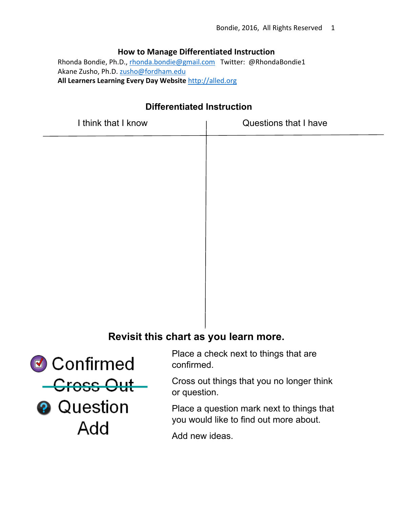# **How to Manage Differentiated Instruction**

Rhonda Bondie, Ph.D., rhonda.bondie@gmail.com Twitter: @RhondaBondie1 Akane Zusho, Ph.D. zusho@fordham.edu **All Learners Learning Every Day Website** http://alled.org

# **Differentiated Instruction**

| I think that I know | Questions that I have |
|---------------------|-----------------------|
|                     |                       |
|                     |                       |
|                     |                       |
|                     |                       |
|                     |                       |
|                     |                       |
|                     |                       |
|                     |                       |
|                     |                       |

# **Revisit this chart as you learn more.**

Confirmed <del>- Cross Out</del> **2** Question Add

Place a check next to things that are confirmed.

Cross out things that you no longer think or question.

Place a question mark next to things that you would like to find out more about.

Add new ideas.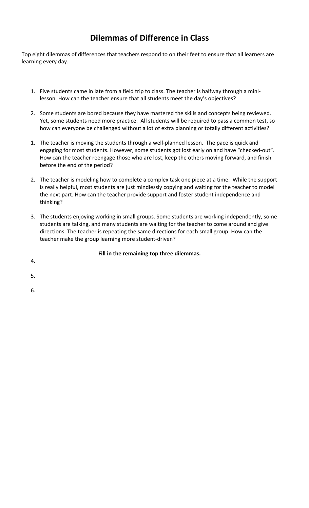# **Dilemmas of Difference in Class**

Top eight dilemmas of differences that teachers respond to on their feet to ensure that all learners are learning every day.

- 1. Five students came in late from a field trip to class. The teacher is halfway through a mini‐ lesson. How can the teacher ensure that all students meet the day's objectives?
- 2. Some students are bored because they have mastered the skills and concepts being reviewed. Yet, some students need more practice. All students will be required to pass a common test, so how can everyone be challenged without a lot of extra planning or totally different activities?
- 1. The teacher is moving the students through a well‐planned lesson. The pace is quick and engaging for most students. However, some students got lost early on and have "checked-out". How can the teacher reengage those who are lost, keep the others moving forward, and finish before the end of the period?
- 2. The teacher is modeling how to complete a complex task one piece at a time. While the support is really helpful, most students are just mindlessly copying and waiting for the teacher to model the next part. How can the teacher provide support and foster student independence and thinking?
- 3. The students enjoying working in small groups. Some students are working independently, some students are talking, and many students are waiting for the teacher to come around and give directions. The teacher is repeating the same directions for each small group. How can the teacher make the group learning more student‐driven?

# **Fill in the remaining top three dilemmas.**

- 4.
- 5.
- 6.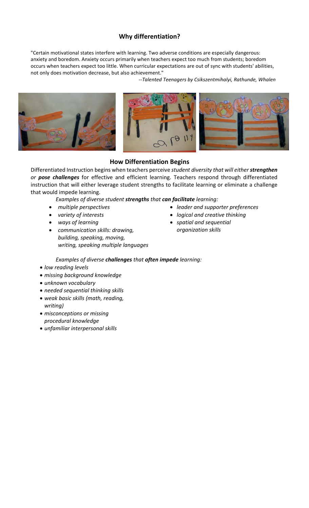# **Why differentiation?**

"Certain motivational states interfere with learning. Two adverse conditions are especially dangerous: anxiety and boredom. Anxiety occurs primarily when teachers expect too much from students; boredom occurs when teachers expect too little. When curricular expectations are out of sync with students' abilities, not only does motivation decrease, but also achievement."

*‐‐Talented Teenagers by Csikszentmihalyi, Rathunde, Whalen*



# **How Differentiation Begins**

Differentiated Instruction begins when teachers perceive *student diversity that will either strengthen or pose challenges* for effective and efficient learning. Teachers respond through differentiated instruction that will either leverage student strengths to facilitate learning or eliminate a challenge that would impede learning.

*Examples of diverse student strengths that can facilitate learning:* 

- *multiple perspectives*
- *variety of interests*
- *ways of learning*
- *communication skills: drawing, building, speaking, moving, writing, speaking multiple languages*
- *leader and supporter preferences*
- *logical and creative thinking*
- *spatial and sequential organization skills*

### *Examples of diverse challenges that often impede learning:*

- *low reading levels*
- *missing background knowledge*
- *unknown vocabulary*
- *needed sequential thinking skills*
- *weak basic skills (math, reading, writing)*
- *misconceptions or missing procedural knowledge*
- *unfamiliar interpersonal skills*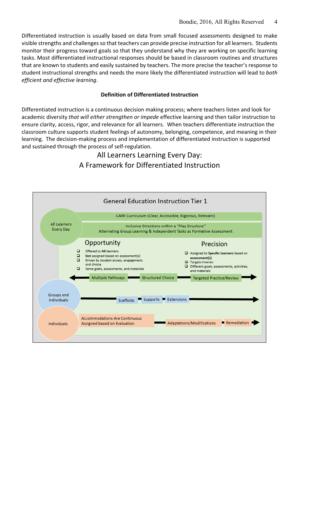Differentiated instruction is usually based on data from small focused assessments designed to make visible strengths and challenges so that teachers can provide precise instruction for all learners. Students monitor their progress toward goals so that they understand why they are working on specific learning tasks. Most differentiated instructional responses should be based in classroom routines and structures that are known to students and easily sustained by teachers. The more precise the teacher's response to student instructional strengths and needs the more likely the differentiated instruction will lead to *both efficient and effective learning*.

#### **Definition of Differentiated Instruction**

Differentiated instruction is a continuous decision making process; where teachers listen and look for academic diversity *that will either strengthen or impede* effective learning and then tailor instruction to ensure clarity, access, rigor, and relevance for all learners. When teachers differentiate instruction the classroom culture supports student feelings of autonomy, belonging, competence, and meaning in their learning. The decision-making process and implementation of differentiated instruction is supported and sustained through the process of self‐regulation.

# All Learners Learning Every Day: A Framework for Differentiated Instruction

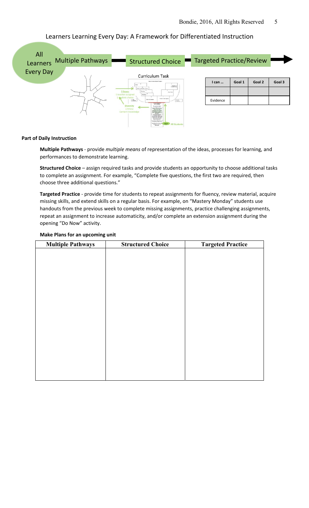

### Learners Learning Every Day: A Framework for Differentiated Instruction

#### **Part of Daily Instruction**

**Multiple Pathways** ‐ provide *multiple means* of representation of the ideas, processes for learning, and performances to demonstrate learning.

**Structured Choice** – assign required tasks and provide students an opportunity to choose additional tasks to complete an assignment. For example, "Complete five questions, the first two are required, then choose three additional questions."

**Targeted Practice** ‐ provide time for students to repeat assignments for fluency, review material, acquire missing skills, and extend skills on a regular basis. For example, on "Mastery Monday" students use handouts from the previous week to complete missing assignments, practice challenging assignments, repeat an assignment to increase automaticity, and/or complete an extension assignment during the opening "Do Now" activity.

#### **Make Plans for an upcoming unit**

| <b>Multiple Pathways</b> | <b>Structured Choice</b> | <b>Targeted Practice</b> |
|--------------------------|--------------------------|--------------------------|
|                          |                          |                          |
|                          |                          |                          |
|                          |                          |                          |
|                          |                          |                          |
|                          |                          |                          |
|                          |                          |                          |
|                          |                          |                          |
|                          |                          |                          |
|                          |                          |                          |
|                          |                          |                          |
|                          |                          |                          |
|                          |                          |                          |
|                          |                          |                          |
|                          |                          |                          |
|                          |                          |                          |
|                          |                          |                          |
|                          |                          |                          |
|                          |                          |                          |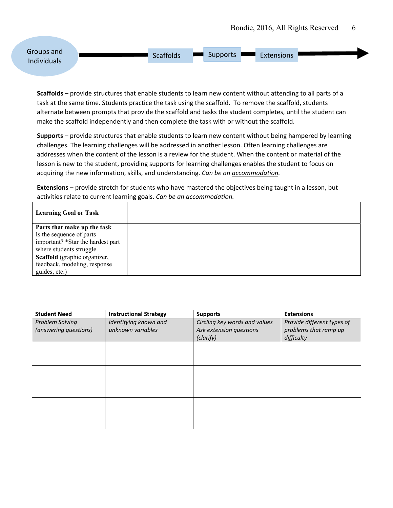

**Scaffolds** – provide structures that enable students to learn new content without attending to all parts of a task at the same time. Students practice the task using the scaffold. To remove the scaffold, students alternate between prompts that provide the scaffold and tasks the student completes, until the student can make the scaffold independently and then complete the task with or without the scaffold.

**Supports** – provide structures that enable students to learn new content without being hampered by learning challenges. The learning challenges will be addressed in another lesson. Often learning challenges are addresses when the content of the lesson is a review for the student. When the content or material of the lesson is new to the student, providing supports for learning challenges enables the student to focus on acquiring the new information, skills, and understanding. *Can be an accommodation.* 

**Extensions** – provide stretch for students who have mastered the objectives being taught in a lesson, but activities relate to current learning goals. *Can be an accommodation.*

| <b>Learning Goal or Task</b>      |  |
|-----------------------------------|--|
| Parts that make up the task       |  |
| Is the sequence of parts          |  |
| important? *Star the hardest part |  |
| where students struggle.          |  |
| Scaffold (graphic organizer,      |  |
| feedback, modeling, response      |  |
| guides, etc.)                     |  |

| <b>Student Need</b>    | <b>Instructional Strategy</b> | <b>Supports</b>               | <b>Extensions</b>          |
|------------------------|-------------------------------|-------------------------------|----------------------------|
| <b>Problem Solving</b> | Identifying known and         | Circling key words and values | Provide different types of |
| (answering questions)  | unknown variables             | Ask extension questions       | problems that ramp up      |
|                        |                               | (clarify)                     | difficulty                 |
|                        |                               |                               |                            |
|                        |                               |                               |                            |
|                        |                               |                               |                            |
|                        |                               |                               |                            |
|                        |                               |                               |                            |
|                        |                               |                               |                            |
|                        |                               |                               |                            |
|                        |                               |                               |                            |
|                        |                               |                               |                            |
|                        |                               |                               |                            |
|                        |                               |                               |                            |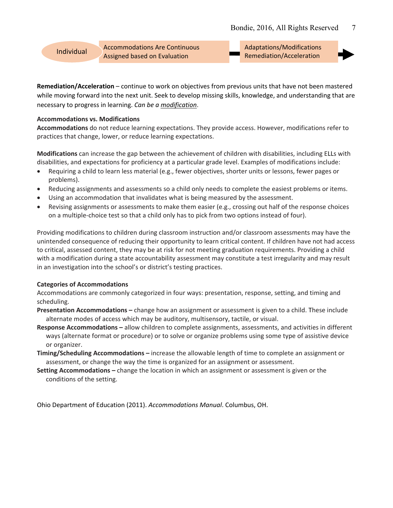Accommodations Are Continuous Individual Accommodations Are continuous<br>Assigned based on Evaluation **Individual Remediation/Acceleration** 

Adaptations/Modifications



**Remediation/Acceleration** – continue to work on objectives from previous units that have not been mastered while moving forward into the next unit. Seek to develop missing skills, knowledge, and understanding that are necessary to progress in learning. *Can be a modification*.

#### **Accommodations vs. Modifications**

**Accommodations** do not reduce learning expectations. They provide access. However, modifications refer to practices that change, lower, or reduce learning expectations.

**Modifications** can increase the gap between the achievement of children with disabilities, including ELLs with disabilities, and expectations for proficiency at a particular grade level. Examples of modifications include:

- Requiring a child to learn less material (e.g., fewer objectives, shorter units or lessons, fewer pages or problems).
- Reducing assignments and assessments so a child only needs to complete the easiest problems or items.
- Using an accommodation that invalidates what is being measured by the assessment.
- Revising assignments or assessments to make them easier (e.g., crossing out half of the response choices on a multiple‐choice test so that a child only has to pick from two options instead of four).

Providing modifications to children during classroom instruction and/or classroom assessments may have the unintended consequence of reducing their opportunity to learn critical content. If children have not had access to critical, assessed content, they may be at risk for not meeting graduation requirements. Providing a child with a modification during a state accountability assessment may constitute a test irregularity and may result in an investigation into the school's or district's testing practices.

#### **Categories of Accommodations**

Accommodations are commonly categorized in four ways: presentation, response, setting, and timing and scheduling.

- **Presentation Accommodations –** change how an assignment or assessment is given to a child. These include alternate modes of access which may be auditory, multisensory, tactile, or visual.
- **Response Accommodations –** allow children to complete assignments, assessments, and activities in different ways (alternate format or procedure) or to solve or organize problems using some type of assistive device or organizer.
- **Timing/Scheduling Accommodations –** increase the allowable length of time to complete an assignment or assessment, or change the way the time is organized for an assignment or assessment.
- **Setting Accommodations –** change the location in which an assignment or assessment is given or the conditions of the setting.

Ohio Department of Education (2011). *Accommodations Manual*. Columbus, OH.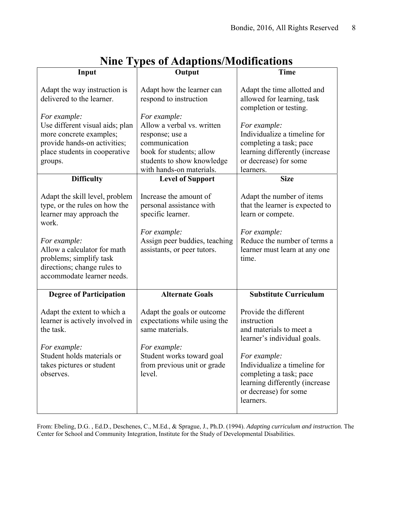|                                                                                                                                                                                                                                                | типе турез от тамаршонз/годинсацонз                                                                                                                                                                                                                   |                                                                                                                                                                                             |
|------------------------------------------------------------------------------------------------------------------------------------------------------------------------------------------------------------------------------------------------|-------------------------------------------------------------------------------------------------------------------------------------------------------------------------------------------------------------------------------------------------------|---------------------------------------------------------------------------------------------------------------------------------------------------------------------------------------------|
| Input                                                                                                                                                                                                                                          | Output                                                                                                                                                                                                                                                | <b>Time</b>                                                                                                                                                                                 |
| Adapt the way instruction is<br>delivered to the learner.                                                                                                                                                                                      | Adapt how the learner can<br>respond to instruction                                                                                                                                                                                                   | Adapt the time allotted and<br>allowed for learning, task<br>completion or testing.                                                                                                         |
| For example:<br>Use different visual aids; plan<br>more concrete examples;<br>provide hands-on activities;<br>place students in cooperative<br>groups.<br><b>Difficulty</b><br>Adapt the skill level, problem<br>type, or the rules on how the | For example:<br>Allow a verbal vs. written<br>response; use a<br>communication<br>book for students; allow<br>students to show knowledge<br>with hands-on materials.<br><b>Level of Support</b><br>Increase the amount of<br>personal assistance with | For example:<br>Individualize a timeline for<br>completing a task; pace<br>learning differently (increase<br>or decrease) for some<br>learners.<br><b>Size</b><br>Adapt the number of items |
| learner may approach the<br>work.<br>For example:<br>Allow a calculator for math<br>problems; simplify task<br>directions; change rules to<br>accommodate learner needs.                                                                       | specific learner.<br>For example:<br>Assign peer buddies, teaching<br>assistants, or peer tutors.                                                                                                                                                     | that the learner is expected to<br>learn or compete.<br>For example:<br>Reduce the number of terms a<br>learner must learn at any one<br>time.                                              |
| <b>Degree of Participation</b>                                                                                                                                                                                                                 | <b>Alternate Goals</b>                                                                                                                                                                                                                                | <b>Substitute Curriculum</b>                                                                                                                                                                |
| Adapt the extent to which a<br>learner is actively involved in<br>the task.                                                                                                                                                                    | Adapt the goals or outcome<br>expectations while using the<br>same materials.                                                                                                                                                                         | Provide the different<br>instruction<br>and materials to meet a<br>learner's individual goals.                                                                                              |
| For example:<br>Student holds materials or<br>takes pictures or student<br>observes.                                                                                                                                                           | For example:<br>Student works toward goal<br>from previous unit or grade<br>level.                                                                                                                                                                    | For example:<br>Individualize a timeline for<br>completing a task; pace<br>learning differently (increase<br>or decrease) for some<br>learners.                                             |

# **Nine Types of Adaptions/Modifications**

From: Ebeling, D.G. , Ed.D., Deschenes, C., M.Ed., & Sprague, J., Ph.D. (1994). *Adapting curriculum and instruction.* The Center for School and Community Integration, Institute for the Study of Developmental Disabilities.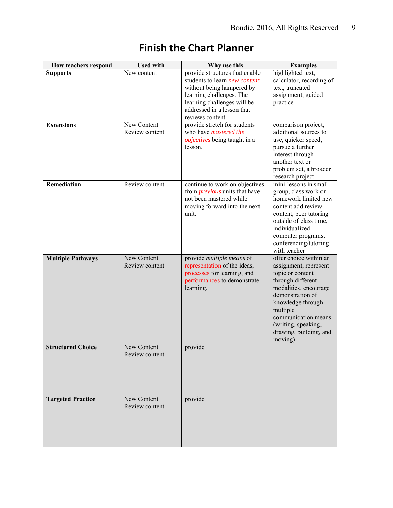| How teachers respond                 | <b>Used with</b>              | Why use this                                                                                                                                                                                                     | <b>Examples</b>                                                                                                                                                                                                                                           |
|--------------------------------------|-------------------------------|------------------------------------------------------------------------------------------------------------------------------------------------------------------------------------------------------------------|-----------------------------------------------------------------------------------------------------------------------------------------------------------------------------------------------------------------------------------------------------------|
| <b>Supports</b><br><b>Extensions</b> | New content<br>New Content    | provide structures that enable<br>students to learn <i>new content</i><br>without being hampered by<br>learning challenges. The<br>learning challenges will be<br>addressed in a lesson that<br>reviews content. | highlighted text,<br>calculator, recording of<br>text, truncated<br>assignment, guided<br>practice                                                                                                                                                        |
|                                      | Review content                | provide stretch for students<br>who have mastered the<br><i>objectives</i> being taught in a<br>lesson.                                                                                                          | comparison project,<br>additional sources to<br>use, quicker speed,<br>pursue a further<br>interest through<br>another text or<br>problem set, a broader<br>research project                                                                              |
| Remediation                          | Review content                | continue to work on objectives<br>from <i>previous</i> units that have<br>not been mastered while<br>moving forward into the next<br>unit.                                                                       | mini-lessons in small<br>group, class work or<br>homework limited new<br>content add review<br>content, peer tutoring<br>outside of class time,<br>individualized<br>computer programs,<br>conferencing/tutoring<br>with teacher                          |
| <b>Multiple Pathways</b>             | New Content<br>Review content | provide multiple means of<br>representation of the ideas,<br>processes for learning, and<br>performances to demonstrate<br>learning.                                                                             | offer choice within an<br>assignment, represent<br>topic or content<br>through different<br>modalities, encourage<br>demonstration of<br>knowledge through<br>multiple<br>communication means<br>(writing, speaking,<br>drawing, building, and<br>moving) |
| <b>Structured Choice</b>             | New Content<br>Review content | provide                                                                                                                                                                                                          |                                                                                                                                                                                                                                                           |
| <b>Targeted Practice</b>             | New Content<br>Review content | provide                                                                                                                                                                                                          |                                                                                                                                                                                                                                                           |

# **Finish the Chart Planner**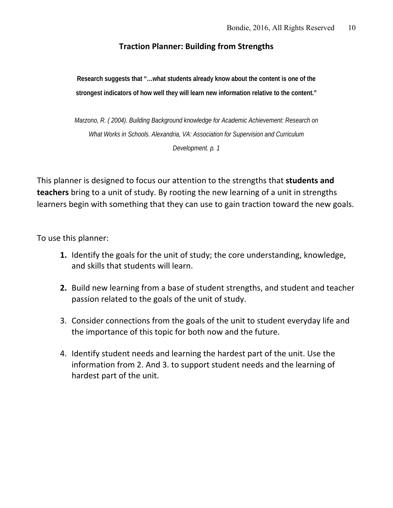# **Traction Planner: Building from Strengths**

**Research suggests that "…what students already know about the content is one of the strongest indicators of how well they will learn new information relative to the content."** 

*Marzono, R. ( 2004). Building Background knowledge for Academic Achievement: Research on What Works in Schools. Alexandria, VA: Association for Supervision and Curriculum Development. p. 1* 

This planner is designed to focus our attention to the strengths that **students and teachers** bring to a unit of study. By rooting the new learning of a unit in strengths learners begin with something that they can use to gain traction toward the new goals.

To use this planner:

- **1.** Identify the goals for the unit of study; the core understanding, knowledge, and skills that students will learn.
- **2.** Build new learning from a base of student strengths, and student and teacher passion related to the goals of the unit of study.
- 3. Consider connections from the goals of the unit to student everyday life and the importance of this topic for both now and the future.
- 4. Identify student needs and learning the hardest part of the unit. Use the information from 2. And 3. to support student needs and the learning of hardest part of the unit.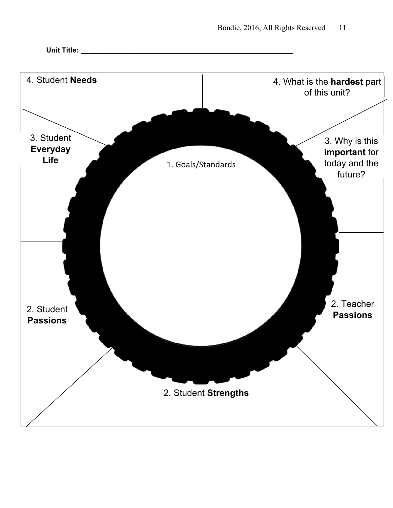

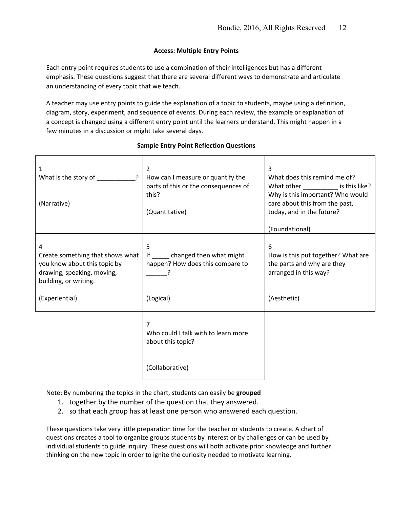#### **Access: Multiple Entry Points**

Each entry point requires students to use a combination of their intelligences but has a different emphasis. These questions suggest that there are several different ways to demonstrate and articulate an understanding of every topic that we teach.

A teacher may use entry points to guide the explanation of a topic to students, maybe using a definition, diagram, story, experiment, and sequence of events. During each review, the example or explanation of a concept is changed using a different entry point until the learners understand. This might happen in a few minutes in a discussion or might take several days.

#### 1 What is the story of  $\overline{?}$ (Narrative) 2 How can I measure or quantify the parts of this or the consequences of this? (Quantitative) 3 What does this remind me of? What other \_\_\_\_\_\_\_\_\_\_\_\_\_ is this like? Why is this important? Who would care about this from the past, today, and in the future? (Foundational) 4 Create something that shows what you know about this topic by drawing, speaking, moving, building, or writing. (Experiential) 5 If changed then what might happen? How does this compare to  $\overline{?}$ (Logical) 6 How is this put together? What are the parts and why are they arranged in this way? (Aesthetic) the contract of the contract of the contract of 7 Who could I talk with to learn more about this topic? (Collaborative)

#### **Sample Entry Point Reflection Questions**

Note: By numbering the topics in the chart, students can easily be **grouped** 

- 1. together by the number of the question that they answered.
- 2. so that each group has at least one person who answered each question.

These questions take very little preparation time for the teacher or students to create. A chart of questions creates a tool to organize groups students by interest or by challenges or can be used by individual students to guide inquiry. These questions will both activate prior knowledge and further thinking on the new topic in order to ignite the curiosity needed to motivate learning.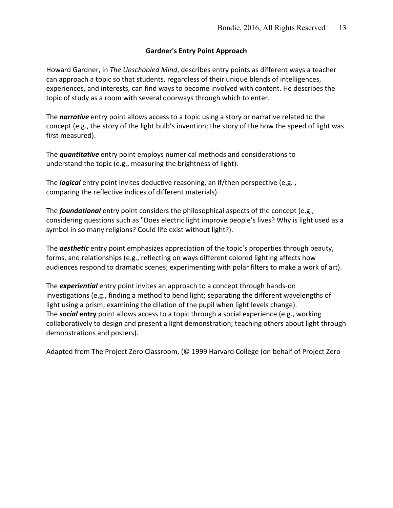#### **Gardner's Entry Point Approach**

Howard Gardner, in *The Unschooled Mind*, describes entry points as different ways a teacher can approach a topic so that students, regardless of their unique blends of intelligences, experiences, and interests, can find ways to become involved with content. He describes the topic of study as a room with several doorways through which to enter.

The *narrative* entry point allows access to a topic using a story or narrative related to the concept (e.g., the story of the light bulb's invention; the story of the how the speed of light was first measured).

The *quantitative* entry point employs numerical methods and considerations to understand the topic (e.g., measuring the brightness of light).

The *logical* entry point invites deductive reasoning, an if/then perspective (e.g. , comparing the reflective indices of different materials).

The *foundational* entry point considers the philosophical aspects of the concept (e.g., considering questions such as "Does electric light improve people's lives? Why is light used as a symbol in so many religions? Could life exist without light?).

The *aesthetic* entry point emphasizes appreciation of the topic's properties through beauty, forms, and relationships (e.g., reflecting on ways different colored lighting affects how audiences respond to dramatic scenes; experimenting with polar filters to make a work of art).

The *experiential* entry point invites an approach to a concept through hands‐on investigations (e.g., finding a method to bend light; separating the different wavelengths of light using a prism; examining the dilation of the pupil when light levels change). The *social* **entry** point allows access to a topic through a social experience (e.g., working collaboratively to design and present a light demonstration; teaching others about light through demonstrations and posters).

Adapted from The Project Zero Classroom, (© 1999 Harvard College (on behalf of Project Zero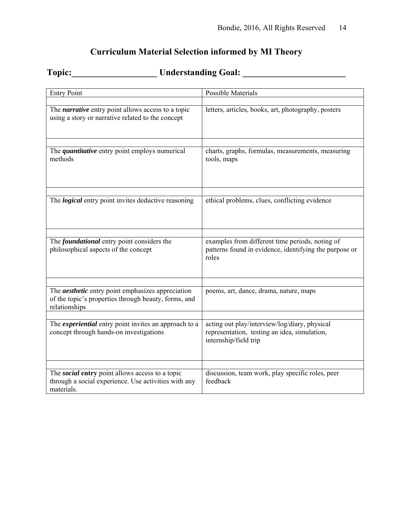# **Curriculum Material Selection informed by MI Theory**

# **Topic:\_\_\_\_\_\_\_\_\_\_\_\_\_\_\_\_\_\_\_ Understanding Goal: \_\_\_\_\_\_\_\_\_\_\_\_\_\_\_\_\_\_\_\_\_\_\_**

| <b>Entry Point</b>                                                                                                                | <b>Possible Materials</b>                                                                                              |
|-----------------------------------------------------------------------------------------------------------------------------------|------------------------------------------------------------------------------------------------------------------------|
| The <i>narrative</i> entry point allows access to a topic<br>using a story or narrative related to the concept                    | letters, articles, books, art, photography, posters                                                                    |
|                                                                                                                                   |                                                                                                                        |
| The <i>quantitative</i> entry point employs numerical<br>methods                                                                  | charts, graphs, formulas, measurements, measuring<br>tools, maps                                                       |
|                                                                                                                                   |                                                                                                                        |
| The <i>logical</i> entry point invites deductive reasoning                                                                        | ethical problems, clues, conflicting evidence                                                                          |
|                                                                                                                                   |                                                                                                                        |
| The <i>foundational</i> entry point considers the<br>philosophical aspects of the concept                                         | examples from different time periods, noting of<br>patterns found in evidence, identifying the purpose or<br>roles     |
|                                                                                                                                   |                                                                                                                        |
| The <i>aesthetic</i> entry point emphasizes appreciation<br>of the topic's properties through beauty, forms, and<br>relationships | poems, art, dance, drama, nature, maps                                                                                 |
|                                                                                                                                   |                                                                                                                        |
| The <i>experiential</i> entry point invites an approach to a<br>concept through hands-on investigations                           | acting out play/interview/log/diary, physical<br>representation, testing an idea, simulation,<br>internship/field trip |
|                                                                                                                                   |                                                                                                                        |
| The social entry point allows access to a topic<br>through a social experience. Use activities with any<br>materials.             | discussion, team work, play specific roles, peer<br>feedback                                                           |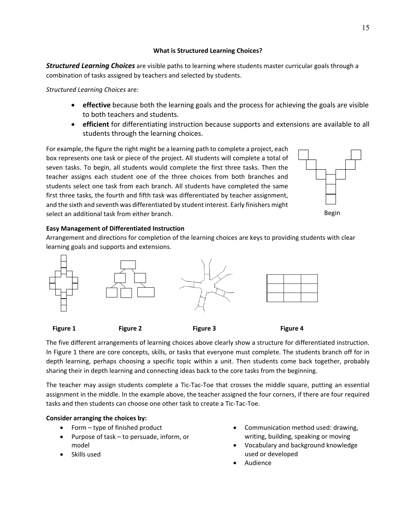#### **What is Structured Learning Choices?**

*Structured Learning Choices* are visible paths to learning where students master curricular goals through a combination of tasks assigned by teachers and selected by students.

*Structured Learning Choices* are:

- **effective** because both the learning goals and the process for achieving the goals are visible to both teachers and students.
- **efficient** for differentiating instruction because supports and extensions are available to all students through the learning choices.

For example, the figure the right might be a learning path to complete a project, each box represents one task or piece of the project. All students will complete a total of seven tasks. To begin, all students would complete the first three tasks. Then the teacher assigns each student one of the three choices from both branches and students select one task from each branch. All students have completed the same first three tasks, the fourth and fifth task was differentiated by teacher assignment, and the sixth and seventh was differentiated by student interest. Early finishers might select an additional task from either branch.



#### Begin

### **Easy Management of Differentiated Instruction**

Arrangement and directions for completion of the learning choices are keys to providing students with clear learning goals and supports and extensions.



The five different arrangements of learning choices above clearly show a structure for differentiated instruction. In Figure 1 there are core concepts, skills, or tasks that everyone must complete. The students branch off for in depth learning, perhaps choosing a specific topic within a unit. Then students come back together, probably sharing their in depth learning and connecting ideas back to the core tasks from the beginning.

The teacher may assign students complete a Tic-Tac-Toe that crosses the middle square, putting an essential assignment in the middle. In the example above, the teacher assigned the four corners, if there are four required tasks and then students can choose one other task to create a Tic‐Tac‐Toe.

### **Consider arranging the choices by:**

- Form type of finished product
- Purpose of task to persuade, inform, or model
- Skills used
- Communication method used: drawing, writing, building, speaking or moving
- Vocabulary and background knowledge used or developed
- Audience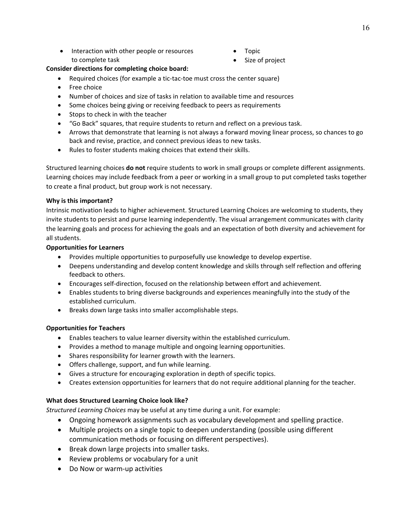- Interaction with other people or resources to complete task
- Topic
- Size of project

#### **Consider directions for completing choice board:**

- Required choices (for example a tic-tac-toe must cross the center square)
- Free choice
- Number of choices and size of tasks in relation to available time and resources
- Some choices being giving or receiving feedback to peers as requirements
- Stops to check in with the teacher
- "Go Back" squares, that require students to return and reflect on a previous task.
- Arrows that demonstrate that learning is not always a forward moving linear process, so chances to go back and revise, practice, and connect previous ideas to new tasks.
- Rules to foster students making choices that extend their skills.

Structured learning choices **do not** require students to work in small groups or complete different assignments. Learning choices may include feedback from a peer or working in a small group to put completed tasks together to create a final product, but group work is not necessary.

#### **Why is this important?**

Intrinsic motivation leads to higher achievement. Structured Learning Choices are welcoming to students, they invite students to persist and purse learning independently. The visual arrangement communicates with clarity the learning goals and process for achieving the goals and an expectation of both diversity and achievement for all students.

#### **Opportunities for Learners**

- Provides multiple opportunities to purposefully use knowledge to develop expertise.
- Deepens understanding and develop content knowledge and skills through self reflection and offering feedback to others.
- Encourages self‐direction, focused on the relationship between effort and achievement.
- Enables students to bring diverse backgrounds and experiences meaningfully into the study of the established curriculum.
- Breaks down large tasks into smaller accomplishable steps.

#### **Opportunities for Teachers**

- Enables teachers to value learner diversity within the established curriculum.
- Provides a method to manage multiple and ongoing learning opportunities.
- Shares responsibility for learner growth with the learners.
- Offers challenge, support, and fun while learning.
- Gives a structure for encouraging exploration in depth of specific topics.
- Creates extension opportunities for learners that do not require additional planning for the teacher.

#### **What does Structured Learning Choice look like?**

*Structured Learning Choices* may be useful at any time during a unit. For example:

- Ongoing homework assignments such as vocabulary development and spelling practice.
- Multiple projects on a single topic to deepen understanding (possible using different communication methods or focusing on different perspectives).
- Break down large projects into smaller tasks.
- Review problems or vocabulary for a unit
- Do Now or warm-up activities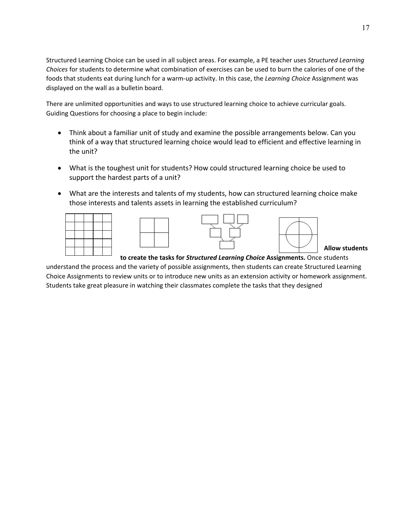Structured Learning Choice can be used in all subject areas. For example, a PE teacher uses *Structured Learning Choices* for students to determine what combination of exercises can be used to burn the calories of one of the foods that students eat during lunch for a warm‐up activity. In this case, the *Learning Choice* Assignment was displayed on the wall as a bulletin board.

There are unlimited opportunities and ways to use structured learning choice to achieve curricular goals. Guiding Questions for choosing a place to begin include:

- Think about a familiar unit of study and examine the possible arrangements below. Can you think of a way that structured learning choice would lead to efficient and effective learning in the unit?
- What is the toughest unit for students? How could structured learning choice be used to support the hardest parts of a unit?
- What are the interests and talents of my students, how can structured learning choice make those interests and talents assets in learning the established curriculum?



**Allow students** 

**to create the tasks for** *Structured Learning Choice* **Assignments.** Once students understand the process and the variety of possible assignments, then students can create Structured Learning Choice Assignments to review units or to introduce new units as an extension activity or homework assignment. Students take great pleasure in watching their classmates complete the tasks that they designed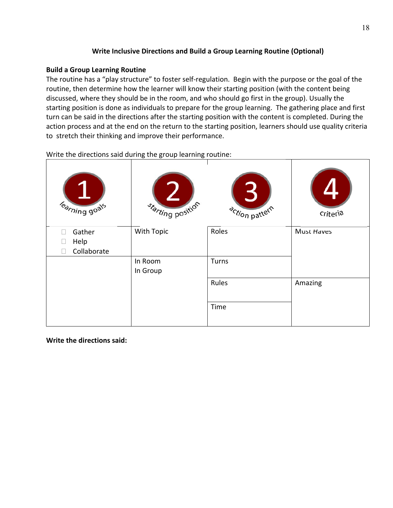### **Write Inclusive Directions and Build a Group Learning Routine (Optional)**

### **Build a Group Learning Routine**

The routine has a "play structure" to foster self‐regulation. Begin with the purpose or the goal of the routine, then determine how the learner will know their starting position (with the content being discussed, where they should be in the room, and who should go first in the group). Usually the starting position is done as individuals to prepare for the group learning. The gathering place and first turn can be said in the directions after the starting position with the content is completed. During the action process and at the end on the return to the starting position, learners should use quality criteria to stretch their thinking and improve their performance.

| Rarning goals       | Starting position   | action pattern | <b>criteria</b>   |
|---------------------|---------------------|----------------|-------------------|
| Gather<br>П<br>Help | With Topic          | Roles          | <b>Must Haves</b> |
| Collaborate         |                     |                |                   |
|                     | In Room<br>In Group | Turns          |                   |
|                     |                     | Rules          | Amazing           |
|                     |                     | Time           |                   |

Write the directions said during the group learning routine:

**Write the directions said:**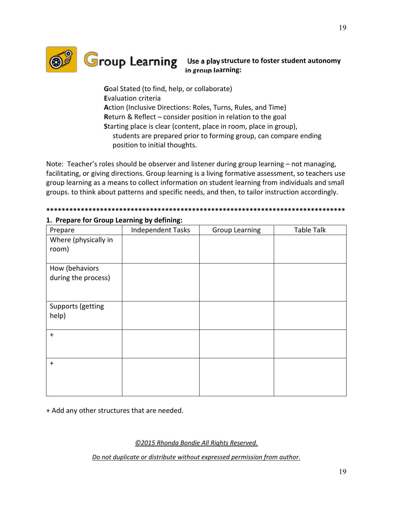

# **Group Learning** Use a play structure to foster student autonomy **in group learning:**

**G**oal Stated (to find, help, or collaborate) **E**valuation criteria **A**ction (Inclusive Directions: Roles, Turns, Rules, and Time) **R**eturn & Reflect – consider position in relation to the goal **S**tarting place is clear (content, place in room, place in group), students are prepared prior to forming group, can compare ending position to initial thoughts.

Note: Teacher's roles should be observer and listener during group learning – not managing, facilitating, or giving directions. Group learning is a living formative assessment, so teachers use group learning as a means to collect information on student learning from individuals and small groups. to think about patterns and specific needs, and then, to tailor instruction accordingly.

# **\*\*\*\*\*\*\*\*\*\*\*\*\*\*\*\*\*\*\*\*\*\*\*\*\*\*\*\*\*\*\*\*\*\*\*\*\*\*\*\*\*\*\*\*\*\*\*\*\*\*\*\*\*\*\*\*\*\*\*\*\*\*\*\*\*\*\*\*\*\*\*\*\*\*\*\*\*\***

| Prepare              | Independent Tasks | <b>Group Learning</b> | Table Talk |
|----------------------|-------------------|-----------------------|------------|
| Where (physically in |                   |                       |            |
| room)                |                   |                       |            |
|                      |                   |                       |            |
| How (behaviors       |                   |                       |            |
| during the process)  |                   |                       |            |
|                      |                   |                       |            |
|                      |                   |                       |            |
| Supports (getting    |                   |                       |            |
| help)                |                   |                       |            |
|                      |                   |                       |            |
| $\ddot{}$            |                   |                       |            |
|                      |                   |                       |            |
|                      |                   |                       |            |
| $\ddot{}$            |                   |                       |            |
|                      |                   |                       |            |
|                      |                   |                       |            |
|                      |                   |                       |            |

### **1. Prepare for Group Learning by defining:**

+ Add any other structures that are needed.

*©2015 Rhonda Bondie All Rights Reserved.*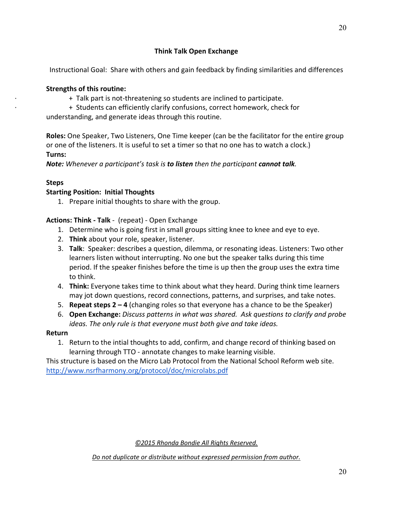# *Note: Whenever a participant's task is to listen then the participant cannot talk.*

**Think Talk Open Exchange** 

Instructional Goal: Share with others and gain feedback by finding similarities and differences

**Roles:** One Speaker, Two Listeners, One Time keeper (can be the facilitator for the entire group

+ Talk part is not-threatening so students are inclined to participate. ∙ + Students can efficiently clarify confusions, correct homework, check for

or one of the listeners. It is useful to set a timer so that no one has to watch a clock.)

#### **Steps**

**Turns:** 

#### **Starting Position: Initial Thoughts**

**Strengths of this routine:**

1. Prepare initial thoughts to share with the group.

understanding, and generate ideas through this routine.

#### **Actions: Think ‐ Talk** ‐ (repeat) ‐ Open Exchange

- 1. Determine who is going first in small groups sitting knee to knee and eye to eye.
- 2. **Think** about your role, speaker, listener.
- 3. **Talk**: Speaker: describes a question, dilemma, or resonating ideas. Listeners: Two other learners listen without interrupting. No one but the speaker talks during this time period. If the speaker finishes before the time is up then the group uses the extra time to think.
- 4. **Think:** Everyone takes time to think about what they heard. During think time learners may jot down questions, record connections, patterns, and surprises, and take notes.
- 5. **Repeat steps 2 4** (changing roles so that everyone has a chance to be the Speaker)
- 6. **Open Exchange:** *Discuss patterns in what was shared. Ask questions to clarify and probe ideas. The only rule is that everyone must both give and take ideas.*

#### **Return**

1. Return to the intial thoughts to add, confirm, and change record of thinking based on learning through TTO ‐ annotate changes to make learning visible.

This structure is based on the Micro Lab Protocol from the National School Reform web site. http://www.nsrfharmony.org/protocol/doc/microlabs.pdf

*©2015 Rhonda Bondie All Rights Reserved.*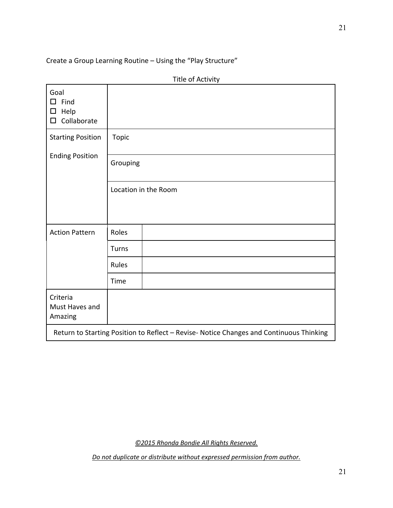Create a Group Learning Routine – Using the "Play Structure"

|                                                         | Title of Activity                                                                       |
|---------------------------------------------------------|-----------------------------------------------------------------------------------------|
| Goal<br>$\square$ Find<br>Help<br>□<br>Collaborate<br>□ |                                                                                         |
| <b>Starting Position</b>                                | <b>Topic</b>                                                                            |
| <b>Ending Position</b>                                  | Grouping                                                                                |
|                                                         | Location in the Room                                                                    |
| <b>Action Pattern</b>                                   | Roles                                                                                   |
|                                                         | Turns                                                                                   |
|                                                         | Rules                                                                                   |
|                                                         | Time                                                                                    |
| Criteria<br>Must Haves and<br>Amazing                   |                                                                                         |
|                                                         | Return to Starting Position to Reflect - Revise- Notice Changes and Continuous Thinking |

*©2015 Rhonda Bondie All Rights Reserved.*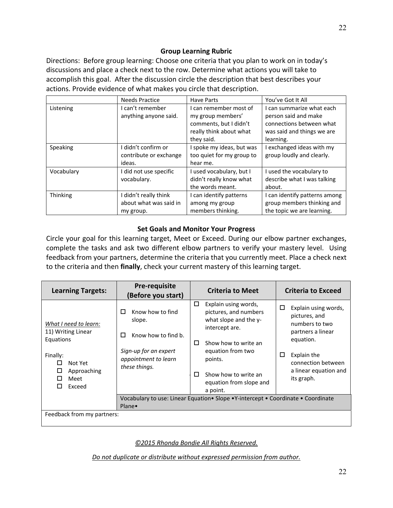### **Group Learning Rubric**

Directions: Before group learning: Choose one criteria that you plan to work on in today's discussions and place a check next to the row. Determine what actions you will take to accomplish this goal. After the discussion circle the description that best describes your actions. Provide evidence of what makes you circle that description.

|            | <b>Needs Practice</b>                                        | <b>Have Parts</b>                                                                                              | You've Got It All                                                                                                        |
|------------|--------------------------------------------------------------|----------------------------------------------------------------------------------------------------------------|--------------------------------------------------------------------------------------------------------------------------|
| Listening  | I can't remember<br>anything anyone said.                    | I can remember most of<br>my group members'<br>comments, but I didn't<br>really think about what<br>they said. | I can summarize what each<br>person said and make<br>connections between what<br>was said and things we are<br>learning. |
| Speaking   | I didn't confirm or<br>contribute or exchange<br>ideas.      | I spoke my ideas, but was<br>too quiet for my group to<br>hear me.                                             | I exchanged ideas with my<br>group loudly and clearly.                                                                   |
| Vocabulary | I did not use specific<br>vocabulary.                        | I used vocabulary, but I<br>didn't really know what<br>the words meant.                                        | I used the vocabulary to<br>describe what I was talking<br>about.                                                        |
| Thinking   | I didn't really think<br>about what was said in<br>my group. | I can identify patterns<br>among my group<br>members thinking.                                                 | I can identify patterns among<br>group members thinking and<br>the topic we are learning.                                |

#### **Set Goals and Monitor Your Progress**

Circle your goal for this learning target, Meet or Exceed. During our elbow partner exchanges, complete the tasks and ask two different elbow partners to verify your mastery level. Using feedback from your partners, determine the criteria that you currently meet. Place a check next to the criteria and then **finally**, check your current mastery of this learning target.

| <b>Learning Targets:</b>                                                                                                        | <b>Pre-requisite</b><br>(Before you start)                                                                                    | <b>Criteria to Meet</b>                                                                                                                                                                                                        | <b>Criteria to Exceed</b>                                                                                                                                                       |
|---------------------------------------------------------------------------------------------------------------------------------|-------------------------------------------------------------------------------------------------------------------------------|--------------------------------------------------------------------------------------------------------------------------------------------------------------------------------------------------------------------------------|---------------------------------------------------------------------------------------------------------------------------------------------------------------------------------|
| What I need to learn:<br>11) Writing Linear<br>Equations<br>Finally:<br>Not Yet<br>П<br>Approaching<br>П<br>Meet<br>Exceed<br>П | Know how to find<br>□<br>slope.<br>Know how to find b.<br>□<br>Sign-up for an expert<br>appointment to learn<br>these things. | □<br>Explain using words,<br>pictures, and numbers<br>what slope and the y-<br>intercept are.<br>Show how to write an<br>п<br>equation from two<br>points.<br>П<br>Show how to write an<br>equation from slope and<br>a point. | □<br>Explain using words,<br>pictures, and<br>numbers to two<br>partners a linear<br>equation.<br>□<br>Explain the<br>connection between<br>a linear equation and<br>its graph. |
|                                                                                                                                 | Plane•                                                                                                                        | Vocabulary to use: Linear Equation • Slope • Y-intercept • Coordinate • Coordinate                                                                                                                                             |                                                                                                                                                                                 |
| Feedback from my partners:                                                                                                      |                                                                                                                               |                                                                                                                                                                                                                                |                                                                                                                                                                                 |

*©2015 Rhonda Bondie All Rights Reserved.*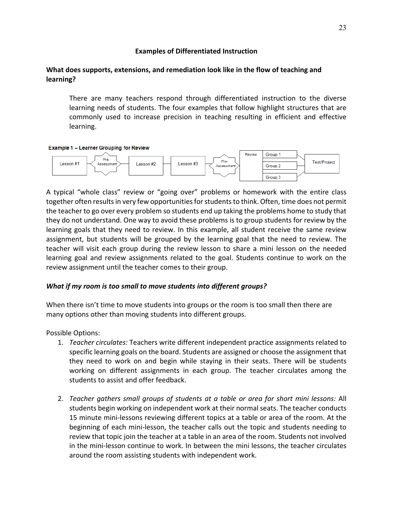#### **Examples of Differentiated Instruction**

#### **What does supports, extensions, and remediation look like in the flow of teaching and learning?**

There are many teachers respond through differentiated instruction to the diverse learning needs of students. The four examples that follow highlight structures that are commonly used to increase precision in teaching resulting in efficient and effective learning.

#### Example 1 - Learner Grouping for Review



A typical "whole class" review or "going over" problems or homework with the entire class together often results in very few opportunities for students to think. Often, time does not permit the teacher to go over every problem so students end up taking the problems home to study that they do not understand. One way to avoid these problems is to group students for review by the learning goals that they need to review. In this example, all student receive the same review assignment, but students will be grouped by the learning goal that the need to review. The teacher will visit each group during the review lesson to share a mini lesson on the needed learning goal and review assignments related to the goal. Students continue to work on the review assignment until the teacher comes to their group.

#### *What if my room is too small to move students into different groups?*

When there isn't time to move students into groups or the room is too small then there are many options other than moving students into different groups.

Possible Options:

- 1. *Teacher circulates:* Teachers write different independent practice assignments related to specific learning goals on the board. Students are assigned or choose the assignment that they need to work on and begin while staying in their seats. There will be students working on different assignments in each group. The teacher circulates among the students to assist and offer feedback.
- 2. *Teacher gathers small groups of students at a table or area for short mini lessons:* All students begin working on independent work at their normal seats. The teacher conducts 15 minute mini‐lessons reviewing different topics at a table or area of the room. At the beginning of each mini-lesson, the teacher calls out the topic and students needing to review that topic join the teacher at a table in an area of the room. Students not involved in the mini‐lesson continue to work. In between the mini lessons, the teacher circulates around the room assisting students with independent work.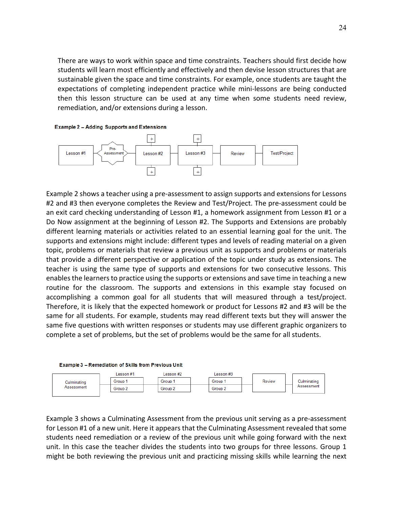There are ways to work within space and time constraints. Teachers should first decide how students will learn most efficiently and effectively and then devise lesson structures that are sustainable given the space and time constraints. For example, once students are taught the expectations of completing independent practice while mini-lessons are being conducted then this lesson structure can be used at any time when some students need review, remediation, and/or extensions during a lesson.

**Example 2 - Adding Supports and Extensions** 



Example 2 shows a teacher using a pre‐assessment to assign supports and extensions for Lessons #2 and #3 then everyone completes the Review and Test/Project. The pre-assessment could be an exit card checking understanding of Lesson #1, a homework assignment from Lesson #1 or a Do Now assignment at the beginning of Lesson #2. The Supports and Extensions are probably different learning materials or activities related to an essential learning goal for the unit. The supports and extensions might include: different types and levels of reading material on a given topic, problems or materials that review a previous unit as supports and problems or materials that provide a different perspective or application of the topic under study as extensions. The teacher is using the same type of supports and extensions for two consecutive lessons. This enables the learners to practice using the supports or extensions and save time in teaching a new routine for the classroom. The supports and extensions in this example stay focused on accomplishing a common goal for all students that will measured through a test/project. Therefore, it is likely that the expected homework or product for Lessons #2 and #3 will be the same for all students. For example, students may read different texts but they will answer the same five questions with written responses or students may use different graphic organizers to complete a set of problems, but the set of problems would be the same for all students.



Example 3 shows a Culminating Assessment from the previous unit serving as a pre‐assessment for Lesson #1 of a new unit. Here it appears that the Culminating Assessment revealed that some students need remediation or a review of the previous unit while going forward with the next unit. In this case the teacher divides the students into two groups for three lessons. Group 1 might be both reviewing the previous unit and practicing missing skills while learning the next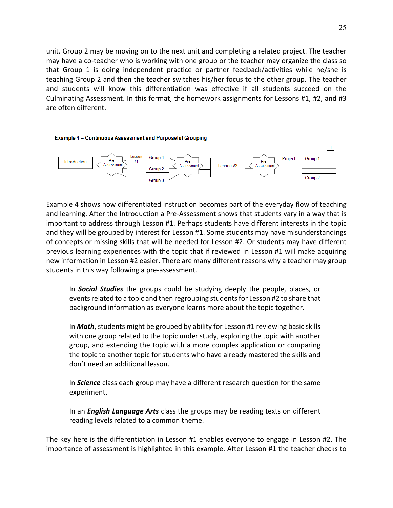unit. Group 2 may be moving on to the next unit and completing a related project. The teacher may have a co‐teacher who is working with one group or the teacher may organize the class so that Group 1 is doing independent practice or partner feedback/activities while he/she is teaching Group 2 and then the teacher switches his/her focus to the other group. The teacher and students will know this differentiation was effective if all students succeed on the Culminating Assessment. In this format, the homework assignments for Lessons #1, #2, and #3 are often different.



Example 4 shows how differentiated instruction becomes part of the everyday flow of teaching and learning. After the Introduction a Pre‐Assessment shows that students vary in a way that is important to address through Lesson #1. Perhaps students have different interests in the topic and they will be grouped by interest for Lesson #1. Some students may have misunderstandings of concepts or missing skills that will be needed for Lesson #2. Or students may have different previous learning experiences with the topic that if reviewed in Lesson #1 will make acquiring new information in Lesson #2 easier. There are many different reasons why a teacher may group students in this way following a pre‐assessment.

In *Social Studies* the groups could be studying deeply the people, places, or events related to a topic and then regrouping students for Lesson #2 to share that background information as everyone learns more about the topic together.

In *Math*, students might be grouped by ability for Lesson #1 reviewing basic skills with one group related to the topic under study, exploring the topic with another group, and extending the topic with a more complex application or comparing the topic to another topic for students who have already mastered the skills and don't need an additional lesson.

In *Science* class each group may have a different research question for the same experiment.

In an *English Language Arts* class the groups may be reading texts on different reading levels related to a common theme.

The key here is the differentiation in Lesson #1 enables everyone to engage in Lesson #2. The importance of assessment is highlighted in this example. After Lesson #1 the teacher checks to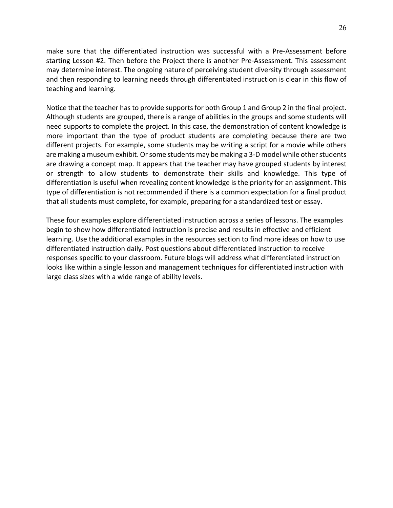make sure that the differentiated instruction was successful with a Pre-Assessment before starting Lesson #2. Then before the Project there is another Pre‐Assessment. This assessment may determine interest. The ongoing nature of perceiving student diversity through assessment and then responding to learning needs through differentiated instruction is clear in this flow of teaching and learning.

Notice that the teacher has to provide supports for both Group 1 and Group 2 in the final project. Although students are grouped, there is a range of abilities in the groups and some students will need supports to complete the project. In this case, the demonstration of content knowledge is more important than the type of product students are completing because there are two different projects. For example, some students may be writing a script for a movie while others are making a museum exhibit. Or some students may be making a 3‐D model while other students are drawing a concept map. It appears that the teacher may have grouped students by interest or strength to allow students to demonstrate their skills and knowledge. This type of differentiation is useful when revealing content knowledge is the priority for an assignment. This type of differentiation is not recommended if there is a common expectation for a final product that all students must complete, for example, preparing for a standardized test or essay.

These four examples explore differentiated instruction across a series of lessons. The examples begin to show how differentiated instruction is precise and results in effective and efficient learning. Use the additional examples in the resources section to find more ideas on how to use differentiated instruction daily. Post questions about differentiated instruction to receive responses specific to your classroom. Future blogs will address what differentiated instruction looks like within a single lesson and management techniques for differentiated instruction with large class sizes with a wide range of ability levels.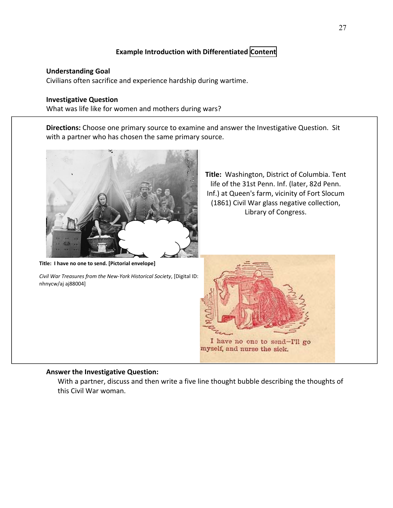### **Example Introduction with Differentiated Content**

#### **Understanding Goal**

Civilians often sacrifice and experience hardship during wartime.

#### **Investigative Question**

What was life like for women and mothers during wars?

**Directions:** Choose one primary source to examine and answer the Investigative Question. Sit with a partner who has chosen the same primary source.



**Title: I have no one to send. [Pictorial envelope]**

*Civil War Treasures from the New‐York Historical Society*, [Digital ID: nhnycw/aj aj88004]

**Title:** Washington, District of Columbia. Tent life of the 31st Penn. Inf. (later, 82d Penn. Inf.) at Queen's farm, vicinity of Fort Slocum (1861) Civil War glass negative collection, Library of Congress.



#### **Answer the Investigative Question:**

With a partner, discuss and then write a five line thought bubble describing the thoughts of this Civil War woman.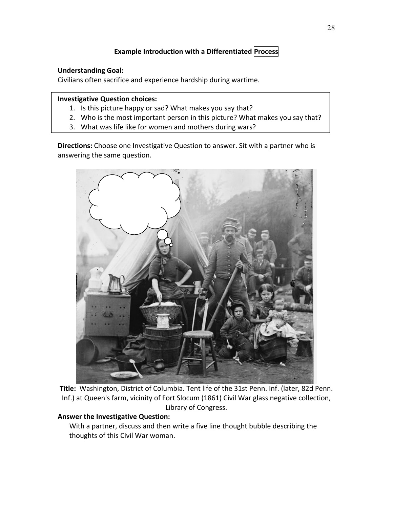### **Example Introduction with a Differentiated Process**

### **Understanding Goal:**

Civilians often sacrifice and experience hardship during wartime.

#### **Investigative Question choices:**

- 1. Is this picture happy or sad? What makes you say that?
- 2. Who is the most important person in this picture? What makes you say that?
- 3. What was life like for women and mothers during wars?

**Directions:** Choose one Investigative Question to answer. Sit with a partner who is answering the same question.



**Title:** Washington, District of Columbia. Tent life of the 31st Penn. Inf. (later, 82d Penn. Inf.) at Queen's farm, vicinity of Fort Slocum (1861) Civil War glass negative collection, Library of Congress.

#### **Answer the Investigative Question:**

With a partner, discuss and then write a five line thought bubble describing the thoughts of this Civil War woman.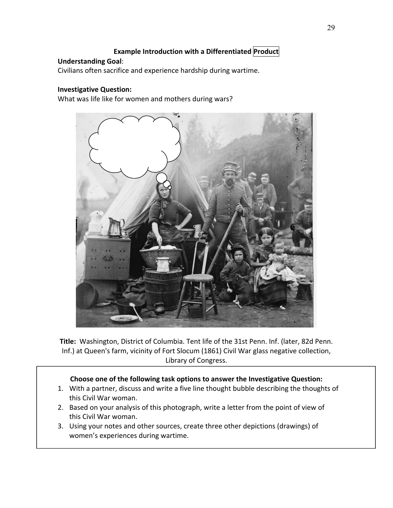### **Example Introduction with a Differentiated Product**

#### **Understanding Goal**:

Civilians often sacrifice and experience hardship during wartime.

#### **Investigative Question:**

What was life like for women and mothers during wars?



**Title:** Washington, District of Columbia. Tent life of the 31st Penn. Inf. (later, 82d Penn. Inf.) at Queen's farm, vicinity of Fort Slocum (1861) Civil War glass negative collection, Library of Congress.

#### **Choose one of the following task options to answer the Investigative Question:**

- 1. With a partner, discuss and write a five line thought bubble describing the thoughts of this Civil War woman.
- 2. Based on your analysis of this photograph, write a letter from the point of view of this Civil War woman.
- 3. Using your notes and other sources, create three other depictions (drawings) of women's experiences during wartime.